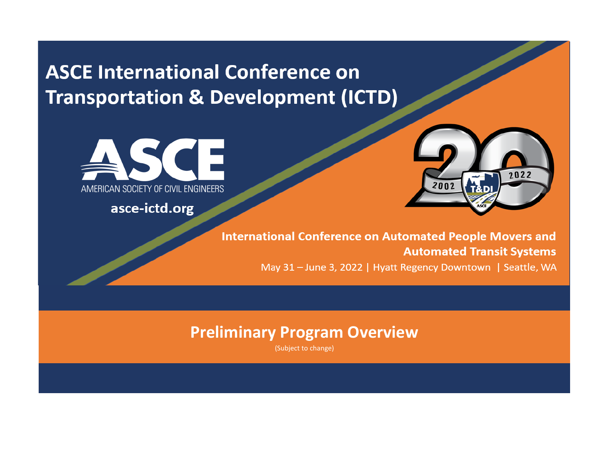**ASCE International Conference on Transportation & Development (ICTD)** 



asce-ictd.org



**International Conference on Automated People Movers and Automated Transit Systems** May 31 - June 3, 2022 | Hyatt Regency Downtown | Seattle, WA

## **Preliminary Program Overview**

(Subject to change)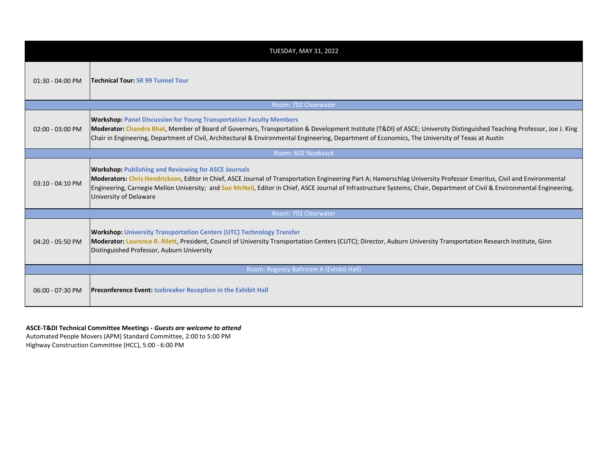| <b>TUESDAY, MAY 31, 2022</b>            |                                                                                                                                                                                                                                                                                                                                                                                                                                             |  |  |  |  |  |  |
|-----------------------------------------|---------------------------------------------------------------------------------------------------------------------------------------------------------------------------------------------------------------------------------------------------------------------------------------------------------------------------------------------------------------------------------------------------------------------------------------------|--|--|--|--|--|--|
| 01:30 - 04:00 PM                        | <b>Technical Tour: SR 99 Tunnel Tour</b>                                                                                                                                                                                                                                                                                                                                                                                                    |  |  |  |  |  |  |
| Room: 702 Clearwater                    |                                                                                                                                                                                                                                                                                                                                                                                                                                             |  |  |  |  |  |  |
| 02:00 - 03:00 PM                        | <b>Workshop: Panel Discussion for Young Transportation Faculty Members</b><br>Moderator: Chandra Bhat, Member of Board of Governors, Transportation & Development Institute (T&DI) of ASCE; University Distinguished Teaching Professor, Joe J. King<br>Chair in Engineering, Department of Civil, Architectural & Environmental Engineering, Department of Economics, The University of Texas at Austin                                    |  |  |  |  |  |  |
| Room: 602 Nooksack                      |                                                                                                                                                                                                                                                                                                                                                                                                                                             |  |  |  |  |  |  |
| 03:10 - 04:10 PM                        | <b>Workshop: Publishing and Reviewing for ASCE Journals</b><br>Moderators: Chris Hendrickson, Editor in Chief, ASCE Journal of Transportation Engineering Part A; Hamerschlag University Professor Emeritus, Civil and Environmental<br>Engineering, Carnegie Mellon University; and Sue McNeil, Editor in Chief, ASCE Journal of Infrastructure Systems; Chair, Department of Civil & Environmental Engineering,<br>University of Delaware |  |  |  |  |  |  |
| Room: 702 Clearwater                    |                                                                                                                                                                                                                                                                                                                                                                                                                                             |  |  |  |  |  |  |
| 04:20 - 05:50 PM                        | <b>Workshop: University Transportation Centers (UTC) Technology Transfer</b><br>Moderator: Laurence R. Rilett, President, Council of University Transportation Centers (CUTC); Director, Auburn University Transportation Research Institute, Ginn<br>Distinguished Professor, Auburn University                                                                                                                                            |  |  |  |  |  |  |
| Room: Regency Ballroom A (Exhibit Hall) |                                                                                                                                                                                                                                                                                                                                                                                                                                             |  |  |  |  |  |  |
| 06:00 - 07:30 PM                        | <b>Preconference Event: Icebreaker Reception in the Exhibit Hall</b>                                                                                                                                                                                                                                                                                                                                                                        |  |  |  |  |  |  |

## **ASCE-T&DI Technical Committee Meetings -** *Guests are welcome to attend*

Automated People Movers (APM) Standard Committee, 2:00 to 5:00 PM Highway Construction Committee (HCC), 5:00 - 6:00 PM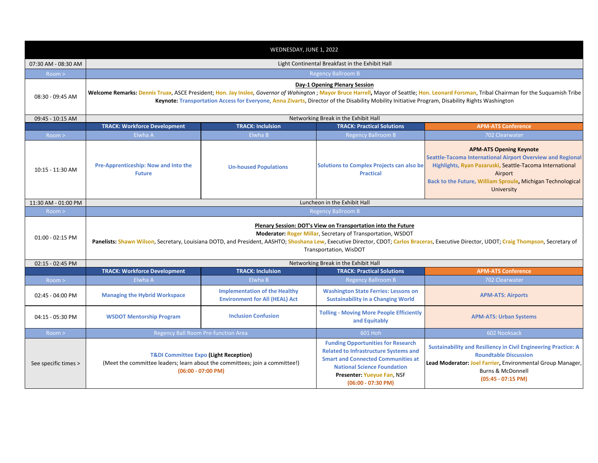| WEDNESDAY, JUNE 1, 2022 |                                                                                                                                                                                                                                                                                                                                                                                 |                                                                                                                                                                           |                                                                                                                                                                                                                                     |                                                                                                                                                                                                                                                  |  |  |  |  |  |
|-------------------------|---------------------------------------------------------------------------------------------------------------------------------------------------------------------------------------------------------------------------------------------------------------------------------------------------------------------------------------------------------------------------------|---------------------------------------------------------------------------------------------------------------------------------------------------------------------------|-------------------------------------------------------------------------------------------------------------------------------------------------------------------------------------------------------------------------------------|--------------------------------------------------------------------------------------------------------------------------------------------------------------------------------------------------------------------------------------------------|--|--|--|--|--|
| 07:30 AM - 08:30 AM     | Light Continental Breakfast in the Exhibit Hall                                                                                                                                                                                                                                                                                                                                 |                                                                                                                                                                           |                                                                                                                                                                                                                                     |                                                                                                                                                                                                                                                  |  |  |  |  |  |
| Room >                  | <b>Regency Ballroom B</b>                                                                                                                                                                                                                                                                                                                                                       |                                                                                                                                                                           |                                                                                                                                                                                                                                     |                                                                                                                                                                                                                                                  |  |  |  |  |  |
| 08:30 - 09:45 AM        | Day-1 Opening Plenary Session<br>Welcome Remarks: Dennis Truax, ASCE President; Hon. Jay Inslee, Governor of Wahington; Mayor Bruce Harrell, Mayor of Seattle; Hon. Leonard Forsman, Tribal Chairman for the Suquamish Tribe<br>Keynote: Transportation Access for Everyone, Anna Zivarts, Director of the Disability Mobility Initiative Program, Disability Rights Washington |                                                                                                                                                                           |                                                                                                                                                                                                                                     |                                                                                                                                                                                                                                                  |  |  |  |  |  |
| 09:45 - 10:15 AM        | Networking Break in the Exhibit Hall                                                                                                                                                                                                                                                                                                                                            |                                                                                                                                                                           |                                                                                                                                                                                                                                     |                                                                                                                                                                                                                                                  |  |  |  |  |  |
|                         | <b>TRACK: Workforce Development</b>                                                                                                                                                                                                                                                                                                                                             | <b>TRACK: Inclulsion</b>                                                                                                                                                  | <b>TRACK: Practical Solutions</b>                                                                                                                                                                                                   | <b>APM-ATS Conference</b>                                                                                                                                                                                                                        |  |  |  |  |  |
| Room >                  | Elwha A                                                                                                                                                                                                                                                                                                                                                                         | Elwha B                                                                                                                                                                   | <b>Regency Ballroom B</b>                                                                                                                                                                                                           | 702 Clearwater                                                                                                                                                                                                                                   |  |  |  |  |  |
| 10:15 - 11:30 AM        | Pre-Apprenticeship: Now and Into the<br><b>Future</b>                                                                                                                                                                                                                                                                                                                           | <b>Un-housed Populations</b>                                                                                                                                              | <b>Solutions to Complex Projects can also be</b><br><b>Practical</b>                                                                                                                                                                | <b>APM-ATS Opening Keynote</b><br>Seattle-Tacoma International Airport Overview and Regional<br>Highlights, Ryan Pazaruski, Seattle-Tacoma International<br>Airport<br>Back to the Future, William Sproule, Michigan Technological<br>University |  |  |  |  |  |
| 11:30 AM - 01:00 PM     | Luncheon in the Exhibit Hall                                                                                                                                                                                                                                                                                                                                                    |                                                                                                                                                                           |                                                                                                                                                                                                                                     |                                                                                                                                                                                                                                                  |  |  |  |  |  |
| Room >                  | <b>Regency Ballroom B</b>                                                                                                                                                                                                                                                                                                                                                       |                                                                                                                                                                           |                                                                                                                                                                                                                                     |                                                                                                                                                                                                                                                  |  |  |  |  |  |
| 01:00 - 02:15 PM        | Plenary Session: DOT's View on Transportation into the Future<br>Moderator: Roger Millar, Secretary of Transportation, WSDOT<br>Panelists: Shawn Wilson, Secretary, Louisiana DOTD, and President, AASHTO; Shoshana Lew, Executive Director, CDOT; Carlos Braceras, Executive Director, UDOT; Craig Thompson, Secretary of<br>Transportation, WisDOT                            |                                                                                                                                                                           |                                                                                                                                                                                                                                     |                                                                                                                                                                                                                                                  |  |  |  |  |  |
| 02:15 - 02:45 PM        |                                                                                                                                                                                                                                                                                                                                                                                 | Networking Break in the Exhibit Hall                                                                                                                                      |                                                                                                                                                                                                                                     |                                                                                                                                                                                                                                                  |  |  |  |  |  |
|                         | <b>TRACK: Workforce Development</b>                                                                                                                                                                                                                                                                                                                                             | <b>TRACK: Inclulsion</b><br><b>TRACK: Practical Solutions</b>                                                                                                             |                                                                                                                                                                                                                                     | <b>APM-ATS Conference</b>                                                                                                                                                                                                                        |  |  |  |  |  |
| Room >                  | Elwha A                                                                                                                                                                                                                                                                                                                                                                         | Elwha B                                                                                                                                                                   | <b>Regency Ballroom B</b>                                                                                                                                                                                                           | 702 Clearwater                                                                                                                                                                                                                                   |  |  |  |  |  |
| 02:45 - 04:00 PM        | <b>Managing the Hybrid Workspace</b>                                                                                                                                                                                                                                                                                                                                            | <b>Implementation of the Healthy</b><br><b>Washington State Ferries: Lessons on</b><br><b>Environment for All (HEAL) Act</b><br><b>Sustainability in a Changing World</b> |                                                                                                                                                                                                                                     | <b>APM-ATS: Airports</b>                                                                                                                                                                                                                         |  |  |  |  |  |
| 04:15 - 05:30 PM        | <b>WSDOT Mentorship Program</b>                                                                                                                                                                                                                                                                                                                                                 | <b>Inclusion Confusion</b>                                                                                                                                                | <b>Tolling - Moving More People Efficiently</b><br>and Equitably                                                                                                                                                                    | <b>APM-ATS: Urban Systems</b>                                                                                                                                                                                                                    |  |  |  |  |  |
| Room >                  | Regency Ball Room Pre-function Area                                                                                                                                                                                                                                                                                                                                             |                                                                                                                                                                           | 601 Hoh                                                                                                                                                                                                                             | 602 Nooksack                                                                                                                                                                                                                                     |  |  |  |  |  |
| See specific times >    | <b>T&amp;DI Committee Expo (Light Reception)</b><br>(Meet the committee leaders; learn about the committees; join a committee!)                                                                                                                                                                                                                                                 | $(06:00 - 07:00 P M)$                                                                                                                                                     | <b>Funding Opportunities for Research</b><br><b>Related to Infrastructure Systems and</b><br><b>Smart and Connected Communities at</b><br><b>National Science Foundation</b><br>Presenter: Yueyue Fan, NSF<br>$(06:00 - 07:30 P M)$ | <b>Sustainability and Resiliency in Civil Engineering Practice: A</b><br><b>Roundtable Discussion</b><br>Lead Moderator: Joel Farrier, Environmental Group Manager,<br><b>Burns &amp; McDonnell</b><br>$(05:45 - 07:15 PM)$                      |  |  |  |  |  |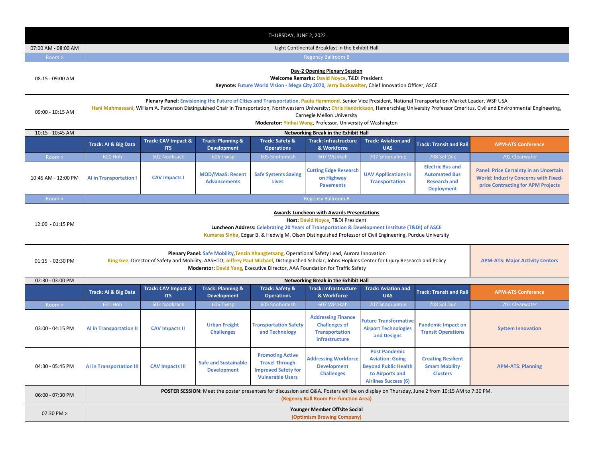| THURSDAY, JUNE 2, 2022 |                                                                                                                                                                                                                                                                                                                                                                                                                                                                   |                                                 |                                                    |                                                                                                           |                                                                                                     |                                                                                                                                 |                                                                                             |                                                                                                                                    |  |
|------------------------|-------------------------------------------------------------------------------------------------------------------------------------------------------------------------------------------------------------------------------------------------------------------------------------------------------------------------------------------------------------------------------------------------------------------------------------------------------------------|-------------------------------------------------|----------------------------------------------------|-----------------------------------------------------------------------------------------------------------|-----------------------------------------------------------------------------------------------------|---------------------------------------------------------------------------------------------------------------------------------|---------------------------------------------------------------------------------------------|------------------------------------------------------------------------------------------------------------------------------------|--|
| 07:00 AM - 08:00 AM    |                                                                                                                                                                                                                                                                                                                                                                                                                                                                   | Light Continental Breakfast in the Exhibit Hall |                                                    |                                                                                                           |                                                                                                     |                                                                                                                                 |                                                                                             |                                                                                                                                    |  |
| Room >                 |                                                                                                                                                                                                                                                                                                                                                                                                                                                                   |                                                 |                                                    |                                                                                                           | <b>Regency Ballroom B</b>                                                                           |                                                                                                                                 |                                                                                             |                                                                                                                                    |  |
| 08:15 - 09:00 AM       | Day-2 Opening Plenary Session<br>Welcome Remarks: David Noyce, T&DI President<br>Keynote: Future World Vision - Mega City 2070, Jerry Buckwalter, Chief Innovation Officer, ASCE                                                                                                                                                                                                                                                                                  |                                                 |                                                    |                                                                                                           |                                                                                                     |                                                                                                                                 |                                                                                             |                                                                                                                                    |  |
| 09:00 - 10:15 AM       | Plenary Panel: Envisioning the Future of Cities and Transportation, Paula Hammond, Senior Vice President, National Transportation Market Leader, WSP USA<br>Hani Mahmassani, William A. Patterson Distinguished Chair in Transportation, Northwestern University; Chris Hendrickson, Hamerschlag University Professor Emeritus, Civil and Environmental Engineering,<br>Carnegie Mellon University<br>Moderator: Yinhai Wang, Professor, University of Washington |                                                 |                                                    |                                                                                                           |                                                                                                     |                                                                                                                                 |                                                                                             |                                                                                                                                    |  |
| 10:15 - 10:45 AM       |                                                                                                                                                                                                                                                                                                                                                                                                                                                                   |                                                 |                                                    |                                                                                                           | Networking Break in the Exhibit Hall                                                                |                                                                                                                                 |                                                                                             |                                                                                                                                    |  |
|                        | Track: AI & Big Data                                                                                                                                                                                                                                                                                                                                                                                                                                              | Track: CAV Impact &<br><b>ITS</b>               | <b>Track: Planning &amp;</b><br><b>Development</b> | <b>Track: Safety &amp;</b><br><b>Operations</b>                                                           | <b>Track: Infrastructure</b><br>& Workforce                                                         | <b>Track: Aviation and</b><br><b>UAS</b>                                                                                        | <b>Track: Transit and Rail</b>                                                              | <b>APM-ATS Conference</b>                                                                                                          |  |
| Room >                 | 601 Hoh                                                                                                                                                                                                                                                                                                                                                                                                                                                           | 602 Nooksack                                    | 606 Twisp                                          | 605 Snohomish                                                                                             | 607 Wishkah                                                                                         | 707 Snoqualmie                                                                                                                  | 708 Sol Duc                                                                                 | 702 Clearwater                                                                                                                     |  |
| 10:45 AM - 12:00 PM    | <b>Al in Transportation I</b>                                                                                                                                                                                                                                                                                                                                                                                                                                     | <b>CAV Impacts I</b>                            | <b>MOD/MaaS: Recent</b><br><b>Advancements</b>     | <b>Safe Systems Saving</b><br><b>Lives</b>                                                                | <b>Cutting Edge Research</b><br>on Highway<br><b>Pavements</b>                                      | <b>UAV Appllications in</b><br><b>Transportation</b>                                                                            | <b>Electric Bus and</b><br><b>Automated Bus</b><br><b>Research and</b><br><b>Deployment</b> | <b>Panel: Price Certainty in an Uncertain</b><br><b>World: Industry Concerns with Fixed-</b><br>price Contracting for APM Projects |  |
| Room >                 |                                                                                                                                                                                                                                                                                                                                                                                                                                                                   |                                                 |                                                    |                                                                                                           | <b>Regency Ballroom B</b>                                                                           |                                                                                                                                 |                                                                                             |                                                                                                                                    |  |
| 12:00 - 01:15 PM       | Awards Luncheon with Awards Presentations<br>Host: David Noyce, T&DI President<br>Luncheon Address: Celebrating 20 Years of Transportation & Development Institute (T&DI) of ASCE<br>Kumares Sinha, Edgar B. & Hedwig M. Olson Distinguished Professor of Civil Engineering, Purdue University                                                                                                                                                                    |                                                 |                                                    |                                                                                                           |                                                                                                     |                                                                                                                                 |                                                                                             |                                                                                                                                    |  |
| 01:15 - 02:30 PM       | Plenary Panel: Safe Mobility, Tenzin Khangtetsang, Operational Safety Lead, Aurora Innovation<br>King Gee, Director of Safety and Mobility, AASHTO; Jeffrey Paul Michael, Distinguished Scholar, Johns Hopkins Center for Injury Research and Policy<br><b>APM-ATS: Major Activity Centers</b><br>Moderator: David Yang, Executive Director, AAA Foundation for Traffic Safety                                                                                    |                                                 |                                                    |                                                                                                           |                                                                                                     |                                                                                                                                 |                                                                                             |                                                                                                                                    |  |
| 02:30 - 03:00 PM       |                                                                                                                                                                                                                                                                                                                                                                                                                                                                   |                                                 |                                                    |                                                                                                           | Networking Break in the Exhibit Hall                                                                |                                                                                                                                 |                                                                                             |                                                                                                                                    |  |
|                        | Track: AI & Big Data                                                                                                                                                                                                                                                                                                                                                                                                                                              | Track: CAV Impact &<br><b>ITS</b>               | <b>Track: Planning &amp;</b><br><b>Development</b> | <b>Track: Safety &amp;</b><br><b>Operations</b>                                                           | <b>Track: Infrastructure</b><br>& Workforce                                                         | <b>Track: Aviation and</b><br><b>UAS</b>                                                                                        | <b>Track: Transit and Rail</b>                                                              | <b>APM-ATS Conference</b>                                                                                                          |  |
| Room >                 | 601 Hoh                                                                                                                                                                                                                                                                                                                                                                                                                                                           | 602 Nooksack                                    | 606 Twisp                                          | 605 Snohomish                                                                                             | 607 Wishkah                                                                                         | 707 Snoqualmie                                                                                                                  | 708 Sol Duc                                                                                 | 702 Clearwater                                                                                                                     |  |
| 03:00 - 04:15 PM       | <b>Al in Transportation II</b>                                                                                                                                                                                                                                                                                                                                                                                                                                    | <b>CAV Impacts II</b>                           | <b>Urban Freight</b><br><b>Challenges</b>          | <b>Transportation Safety</b><br>and Technology                                                            | <b>Addressing Finance</b><br><b>Challenges of</b><br><b>Transportation</b><br><b>Infrastructure</b> | <b>Future Transformative</b><br><b>Airport Technologies</b><br>and Designs                                                      | <b>Pandemic Impact on</b><br><b>Transit Operations</b>                                      | <b>System Innovation</b>                                                                                                           |  |
| 04:30 - 05:45 PM       | <b>AI in Transportation III</b>                                                                                                                                                                                                                                                                                                                                                                                                                                   | <b>CAV Impacts III</b>                          | <b>Safe and Sustainable</b><br><b>Development</b>  | <b>Promoting Active</b><br><b>Travel Through</b><br><b>Improved Safety for</b><br><b>Vulnerable Users</b> | <b>Addressing Workforce</b><br><b>Development</b><br><b>Challenges</b>                              | <b>Post Pandemic</b><br><b>Aviation: Going</b><br><b>Beyond Public Health</b><br>to Airports and<br><b>Airlines Success (6)</b> | <b>Creating Resilient</b><br><b>Smart Mobility</b><br><b>Clusters</b>                       | <b>APM-ATS: Planning</b>                                                                                                           |  |
| 06:00 - 07:30 PM       | POSTER SESSION: Meet the poster presenters for discussion and Q&A. Posters will be on display on Thursday, June 2 from 10:15 AM to 7:30 PM.<br>(Regency Ball Room Pre-function Area)                                                                                                                                                                                                                                                                              |                                                 |                                                    |                                                                                                           |                                                                                                     |                                                                                                                                 |                                                                                             |                                                                                                                                    |  |
| 07:30 PM >             | Younger Member Offsite Social<br>(Optimism Brewing Company)                                                                                                                                                                                                                                                                                                                                                                                                       |                                                 |                                                    |                                                                                                           |                                                                                                     |                                                                                                                                 |                                                                                             |                                                                                                                                    |  |